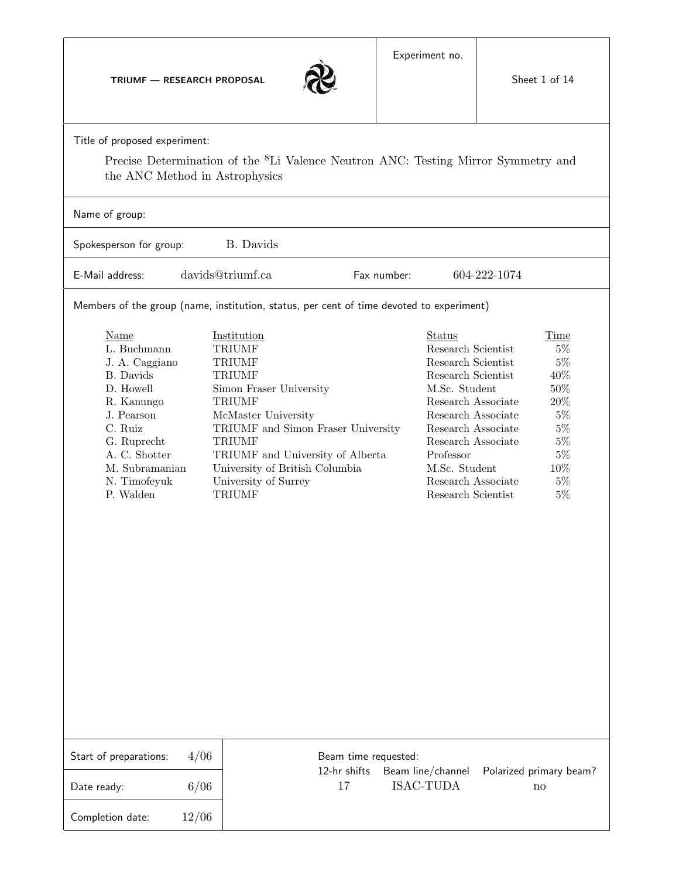TRIUMF — RESEARCH PROPOSAL



|  | Title of proposed experiment: |
|--|-------------------------------|
|--|-------------------------------|

Precise Determination of the <sup>8</sup>Li Valence Neutron ANC: Testing Mirror Symmetry and the ANC Method in Astrophysics

| Name of group:                                                                                                                                                                        |                                                                                                                                                                                                                                                                                                         |                                                                                       |             |                                                                                                                                                                                                                                                             |                                                                                                          |  |  |
|---------------------------------------------------------------------------------------------------------------------------------------------------------------------------------------|---------------------------------------------------------------------------------------------------------------------------------------------------------------------------------------------------------------------------------------------------------------------------------------------------------|---------------------------------------------------------------------------------------|-------------|-------------------------------------------------------------------------------------------------------------------------------------------------------------------------------------------------------------------------------------------------------------|----------------------------------------------------------------------------------------------------------|--|--|
| Spokesperson for group:                                                                                                                                                               | <b>B.</b> Davids                                                                                                                                                                                                                                                                                        |                                                                                       |             |                                                                                                                                                                                                                                                             |                                                                                                          |  |  |
| E-Mail address:                                                                                                                                                                       | davids@triumf.ca                                                                                                                                                                                                                                                                                        |                                                                                       | Fax number: | 604-222-1074                                                                                                                                                                                                                                                |                                                                                                          |  |  |
| Members of the group (name, institution, status, per cent of time devoted to experiment)                                                                                              |                                                                                                                                                                                                                                                                                                         |                                                                                       |             |                                                                                                                                                                                                                                                             |                                                                                                          |  |  |
| Name<br>L. Buchmann<br>J. A. Caggiano<br>B. Davids<br>D. Howell<br>R. Kanungo<br>J. Pearson<br>C. Ruiz<br>G. Ruprecht<br>A. C. Shotter<br>M. Subramanian<br>N. Timofeyuk<br>P. Walden | Institution<br><b>TRIUMF</b><br><b>TRIUMF</b><br><b>TRIUMF</b><br>Simon Fraser University<br><b>TRIUMF</b><br>McMaster University<br>TRIUMF and Simon Fraser University<br><b>TRIUMF</b><br>TRIUMF and University of Alberta<br>University of British Columbia<br>University of Surrey<br><b>TRIUMF</b> |                                                                                       |             | Status<br>Research Scientist<br>Research Scientist<br>Research Scientist<br>M.Sc. Student<br>Research Associate<br>Research Associate<br>Research Associate<br>Research Associate<br>Professor<br>M.Sc. Student<br>Research Associate<br>Research Scientist | Time<br>$5\%$<br>$5\%$<br>40%<br>50%<br>20%<br>$5\%$<br>$5\%$<br>$5\%$<br>$5\%$<br>10%<br>$5\%$<br>$5\%$ |  |  |
| 4/06<br>Start of preparations:                                                                                                                                                        |                                                                                                                                                                                                                                                                                                         | Beam time requested:                                                                  |             |                                                                                                                                                                                                                                                             |                                                                                                          |  |  |
| 6/06<br>Date ready:                                                                                                                                                                   |                                                                                                                                                                                                                                                                                                         | 12-hr shifts<br>Beam line/channel<br>Polarized primary beam?<br>ISAC-TUDA<br>17<br>no |             |                                                                                                                                                                                                                                                             |                                                                                                          |  |  |
| 12/06<br>Completion date:                                                                                                                                                             |                                                                                                                                                                                                                                                                                                         |                                                                                       |             |                                                                                                                                                                                                                                                             |                                                                                                          |  |  |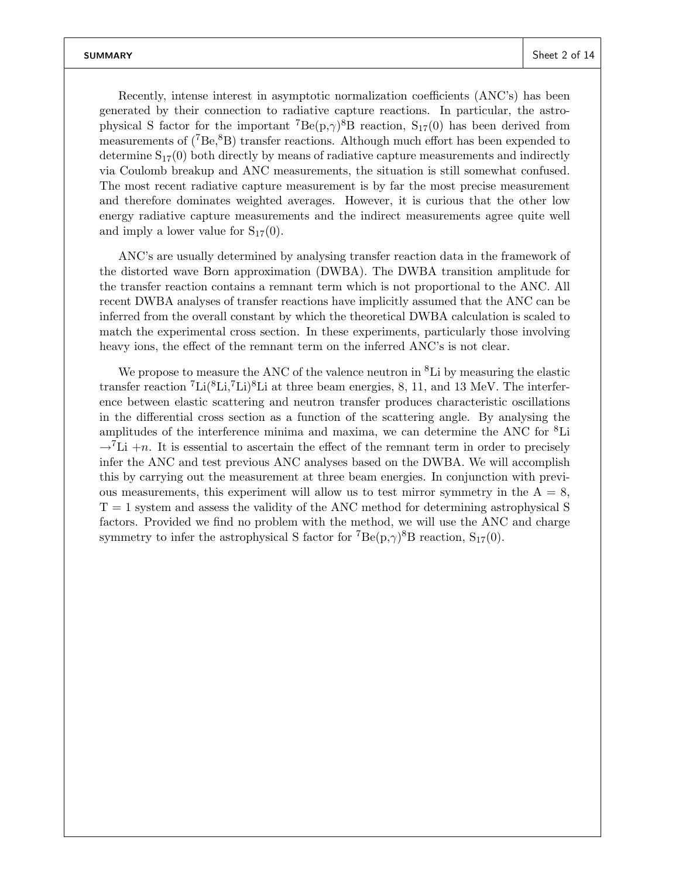Recently, intense interest in asymptotic normalization coefficients (ANC's) has been generated by their connection to radiative capture reactions. In particular, the astrophysical S factor for the important <sup>7</sup> $Be(p,\gamma)^8B$  reaction,  $S_{17}(0)$  has been derived from measurements of  $(^{7}Be, ^{8}B)$  transfer reactions. Although much effort has been expended to determine  $S_{17}(0)$  both directly by means of radiative capture measurements and indirectly via Coulomb breakup and ANC measurements, the situation is still somewhat confused. The most recent radiative capture measurement is by far the most precise measurement and therefore dominates weighted averages. However, it is curious that the other low energy radiative capture measurements and the indirect measurements agree quite well and imply a lower value for  $S_{17}(0)$ .

ANC's are usually determined by analysing transfer reaction data in the framework of the distorted wave Born approximation (DWBA). The DWBA transition amplitude for the transfer reaction contains a remnant term which is not proportional to the ANC. All recent DWBA analyses of transfer reactions have implicitly assumed that the ANC can be inferred from the overall constant by which the theoretical DWBA calculation is scaled to match the experimental cross section. In these experiments, particularly those involving heavy ions, the effect of the remnant term on the inferred ANC's is not clear.

We propose to measure the ANC of the valence neutron in  ${}^{8}$ Li by measuring the elastic transfer reaction  ${}^{7}Li({}^{8}Li, {}^{7}Li){}^{8}Li$  at three beam energies, 8, 11, and 13 MeV. The interference between elastic scattering and neutron transfer produces characteristic oscillations in the differential cross section as a function of the scattering angle. By analysing the amplitudes of the interference minima and maxima, we can determine the ANC for <sup>8</sup>Li  $\rightarrow$ <sup>7</sup>Li +n. It is essential to ascertain the effect of the remnant term in order to precisely infer the ANC and test previous ANC analyses based on the DWBA. We will accomplish this by carrying out the measurement at three beam energies. In conjunction with previous measurements, this experiment will allow us to test mirror symmetry in the  $A = 8$ ,  $T = 1$  system and assess the validity of the ANC method for determining astrophysical S factors. Provided we find no problem with the method, we will use the ANC and charge symmetry to infer the astrophysical S factor for  ${}^{7}Be(p,\gamma){}^{8}B$  reaction,  $S_{17}(0)$ .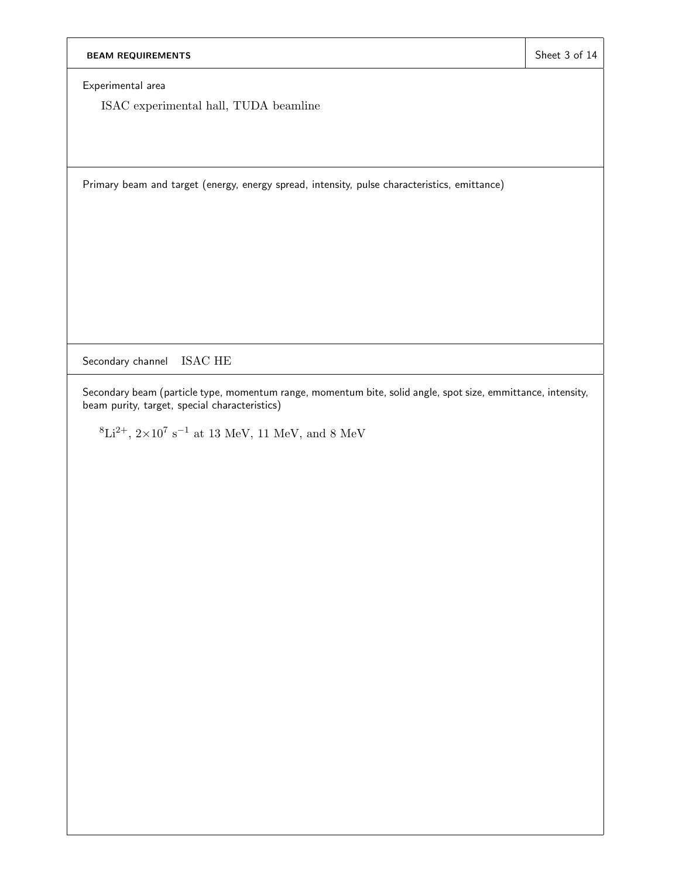Experimental area

ISAC experimental hall, TUDA beamline

Primary beam and target (energy, energy spread, intensity, pulse characteristics, emittance)

Secondary channel ISAC HE

Secondary beam (particle type, momentum range, momentum bite, solid angle, spot size, emmittance, intensity, beam purity, target, special characteristics)

 ${}^{8}\text{Li}^{2+}$ ,  $2\times10^{7}$  s<sup>-1</sup> at 13 MeV, 11 MeV, and 8 MeV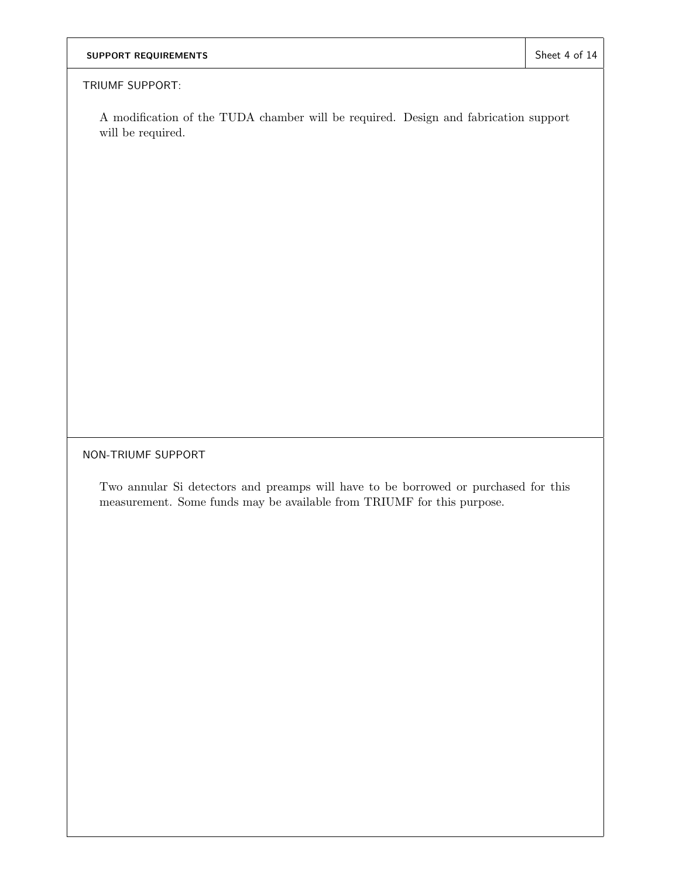## SUPPORT REQUIREMENTS SUPPORT REQUIREMENTS

#### TRIUMF SUPPORT:

A modification of the TUDA chamber will be required. Design and fabrication support will be required.

NON-TRIUMF SUPPORT

Two annular Si detectors and preamps will have to be borrowed or purchased for this measurement. Some funds may be available from TRIUMF for this purpose.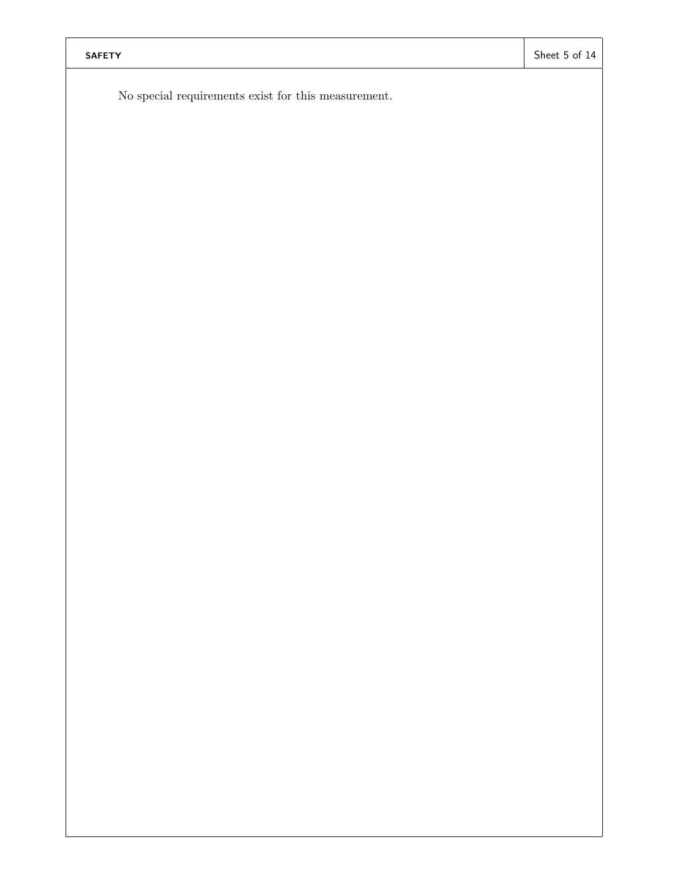No special requirements exist for this measurement.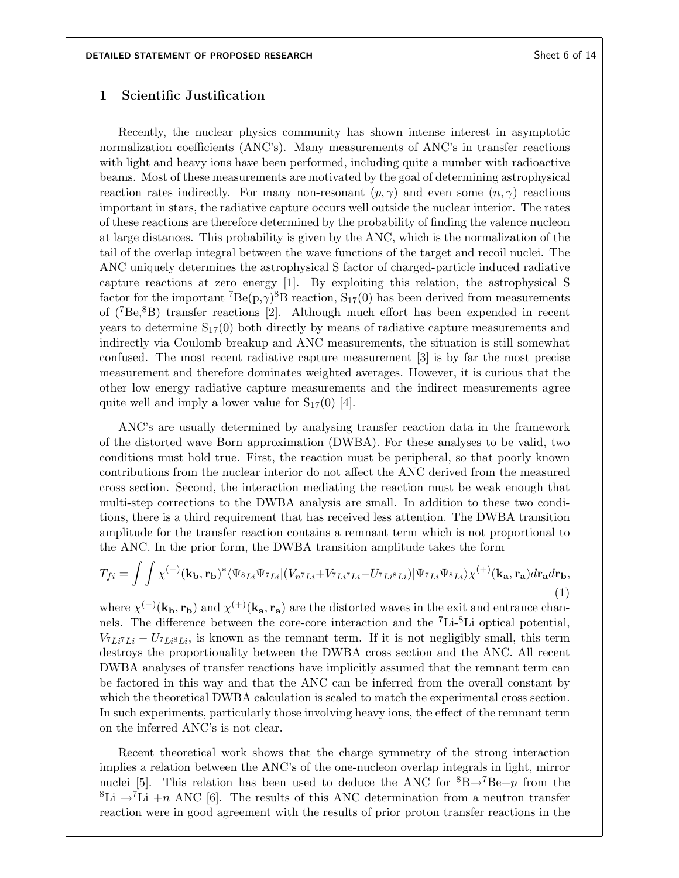#### 1 Scientific Justification

Recently, the nuclear physics community has shown intense interest in asymptotic normalization coefficients (ANC's). Many measurements of ANC's in transfer reactions with light and heavy ions have been performed, including quite a number with radioactive beams. Most of these measurements are motivated by the goal of determining astrophysical reaction rates indirectly. For many non-resonant  $(p, \gamma)$  and even some  $(n, \gamma)$  reactions important in stars, the radiative capture occurs well outside the nuclear interior. The rates of these reactions are therefore determined by the probability of finding the valence nucleon at large distances. This probability is given by the ANC, which is the normalization of the tail of the overlap integral between the wave functions of the target and recoil nuclei. The ANC uniquely determines the astrophysical S factor of charged-particle induced radiative capture reactions at zero energy [1]. By exploiting this relation, the astrophysical S factor for the important  ${}^{7}Be(p,\gamma){}^{8}B$  reaction,  $S_{17}(0)$  has been derived from measurements of (7Be,8B) transfer reactions [2]. Although much effort has been expended in recent years to determine  $S_{17}(0)$  both directly by means of radiative capture measurements and indirectly via Coulomb breakup and ANC measurements, the situation is still somewhat confused. The most recent radiative capture measurement [3] is by far the most precise measurement and therefore dominates weighted averages. However, it is curious that the other low energy radiative capture measurements and the indirect measurements agree quite well and imply a lower value for  $S_{17}(0)$  [4].

ANC's are usually determined by analysing transfer reaction data in the framework of the distorted wave Born approximation (DWBA). For these analyses to be valid, two conditions must hold true. First, the reaction must be peripheral, so that poorly known contributions from the nuclear interior do not affect the ANC derived from the measured cross section. Second, the interaction mediating the reaction must be weak enough that multi-step corrections to the DWBA analysis are small. In addition to these two conditions, there is a third requirement that has received less attention. The DWBA transition amplitude for the transfer reaction contains a remnant term which is not proportional to the ANC. In the prior form, the DWBA transition amplitude takes the form

$$
T_{fi} = \int \int \chi^{(-)}(\mathbf{k_b}, \mathbf{r_b})^* \langle \Psi_{8Li} \Psi_{7Li} | (V_{n7Li} + V_{7Li7Li} - U_{7Li8Li}) | \Psi_{7Li} \Psi_{8Li} \rangle \chi^{(+)}(\mathbf{k_a}, \mathbf{r_a}) d\mathbf{r_a} d\mathbf{r_b},
$$
\n(1)

where  $\chi^{(-)}(\mathbf{k_b}, \mathbf{r_b})$  and  $\chi^{(+)}(\mathbf{k_a}, \mathbf{r_a})$  are the distorted waves in the exit and entrance channels. The difference between the core-core interaction and the <sup>7</sup>Li-8Li optical potential,  $V_{\tau_{Li}\tau_{Li}} - U_{\tau_{Li}8Li}$ , is known as the remnant term. If it is not negligibly small, this term destroys the proportionality between the DWBA cross section and the ANC. All recent DWBA analyses of transfer reactions have implicitly assumed that the remnant term can be factored in this way and that the ANC can be inferred from the overall constant by which the theoretical DWBA calculation is scaled to match the experimental cross section. In such experiments, particularly those involving heavy ions, the effect of the remnant term on the inferred ANC's is not clear.

Recent theoretical work shows that the charge symmetry of the strong interaction implies a relation between the ANC's of the one-nucleon overlap integrals in light, mirror nuclei [5]. This relation has been used to deduce the ANC for  ${}^{8}B\rightarrow {}^{7}Be+p$  from the <sup>8</sup>Li  $\rightarrow$ <sup>7</sup>Li +n ANC [6]. The results of this ANC determination from a neutron transfer reaction were in good agreement with the results of prior proton transfer reactions in the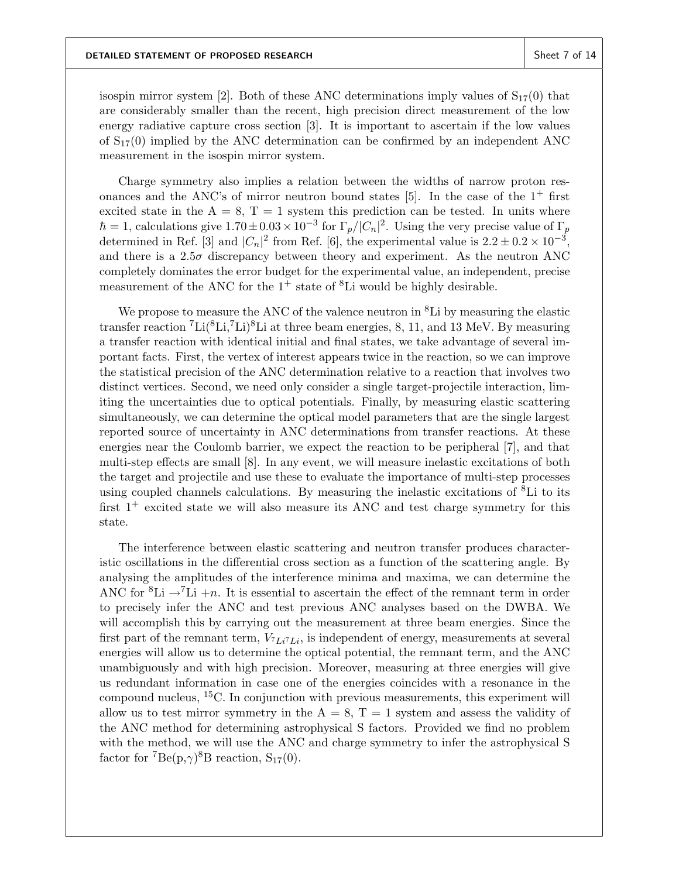isospin mirror system [2]. Both of these ANC determinations imply values of  $S_{17}(0)$  that are considerably smaller than the recent, high precision direct measurement of the low energy radiative capture cross section [3]. It is important to ascertain if the low values of  $S_{17}(0)$  implied by the ANC determination can be confirmed by an independent ANC measurement in the isospin mirror system.

Charge symmetry also implies a relation between the widths of narrow proton resonances and the ANC's of mirror neutron bound states  $[5]$ . In the case of the  $1^+$  first excited state in the  $A = 8$ ,  $T = 1$  system this prediction can be tested. In units where  $\hbar = 1$ , calculations give  $1.70 \pm 0.03 \times 10^{-3}$  for  $\Gamma_p/|C_n|^2$ . Using the very precise value of  $\Gamma_p$ determined in Ref. [3] and  $|C_n|^2$  from Ref. [6], the experimental value is  $2.2 \pm 0.2 \times 10^{-3}$ , and there is a  $2.5\sigma$  discrepancy between theory and experiment. As the neutron ANC completely dominates the error budget for the experimental value, an independent, precise measurement of the ANC for the  $1^+$  state of  ${}^8$ Li would be highly desirable.

We propose to measure the ANC of the valence neutron in <sup>8</sup>Li by measuring the elastic transfer reaction  ${}^{7}$ Li( ${}^{8}$ Li, ${}^{7}$ Li) ${}^{8}$ Li at three beam energies, 8, 11, and 13 MeV. By measuring a transfer reaction with identical initial and final states, we take advantage of several important facts. First, the vertex of interest appears twice in the reaction, so we can improve the statistical precision of the ANC determination relative to a reaction that involves two distinct vertices. Second, we need only consider a single target-projectile interaction, limiting the uncertainties due to optical potentials. Finally, by measuring elastic scattering simultaneously, we can determine the optical model parameters that are the single largest reported source of uncertainty in ANC determinations from transfer reactions. At these energies near the Coulomb barrier, we expect the reaction to be peripheral [7], and that multi-step effects are small [8]. In any event, we will measure inelastic excitations of both the target and projectile and use these to evaluate the importance of multi-step processes using coupled channels calculations. By measuring the inelastic excitations of  ${}^8\text{Li}$  to its first  $1^+$  excited state we will also measure its ANC and test charge symmetry for this state.

The interference between elastic scattering and neutron transfer produces characteristic oscillations in the differential cross section as a function of the scattering angle. By analysing the amplitudes of the interference minima and maxima, we can determine the ANC for <sup>8</sup>Li  $\rightarrow$ <sup>7</sup>Li +n. It is essential to ascertain the effect of the remnant term in order to precisely infer the ANC and test previous ANC analyses based on the DWBA. We will accomplish this by carrying out the measurement at three beam energies. Since the first part of the remnant term,  $V_{7Li7Li}$ , is independent of energy, measurements at several energies will allow us to determine the optical potential, the remnant term, and the ANC unambiguously and with high precision. Moreover, measuring at three energies will give us redundant information in case one of the energies coincides with a resonance in the compound nucleus, <sup>15</sup>C. In conjunction with previous measurements, this experiment will allow us to test mirror symmetry in the  $A = 8$ ,  $T = 1$  system and assess the validity of the ANC method for determining astrophysical S factors. Provided we find no problem with the method, we will use the ANC and charge symmetry to infer the astrophysical S factor for  ${}^{7}Be(p,\gamma){}^{8}B$  reaction,  $S_{17}(0)$ .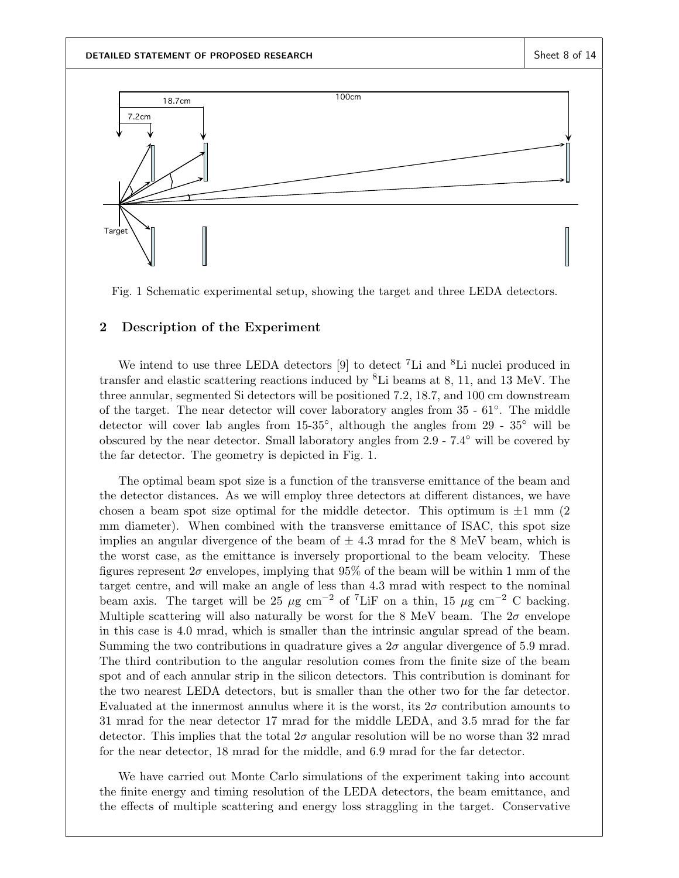

Fig. 1 Schematic experimental setup, showing the target and three LEDA detectors.

#### 2 Description of the Experiment

We intend to use three LEDA detectors  $[9]$  to detect <sup>7</sup>Li and <sup>8</sup>Li nuclei produced in transfer and elastic scattering reactions induced by  ${}^{8}$ Li beams at 8, 11, and 13 MeV. The three annular, segmented Si detectors will be positioned 7.2, 18.7, and 100 cm downstream of the target. The near detector will cover laboratory angles from 35 - 61◦ . The middle detector will cover lab angles from  $15{\text -}35^{\circ}$ , although the angles from  $29 - 35^{\circ}$  will be obscured by the near detector. Small laboratory angles from 2.9 - 7.4◦ will be covered by the far detector. The geometry is depicted in Fig. 1.

The optimal beam spot size is a function of the transverse emittance of the beam and the detector distances. As we will employ three detectors at different distances, we have chosen a beam spot size optimal for the middle detector. This optimum is  $\pm 1$  mm (2) mm diameter). When combined with the transverse emittance of ISAC, this spot size implies an angular divergence of the beam of  $\pm$  4.3 mrad for the 8 MeV beam, which is the worst case, as the emittance is inversely proportional to the beam velocity. These figures represent  $2\sigma$  envelopes, implying that  $95\%$  of the beam will be within 1 mm of the target centre, and will make an angle of less than 4.3 mrad with respect to the nominal beam axis. The target will be 25  $\mu$ g cm<sup>-2</sup> of <sup>7</sup>LiF on a thin, 15  $\mu$ g cm<sup>-2</sup> C backing. Multiple scattering will also naturally be worst for the 8 MeV beam. The  $2\sigma$  envelope in this case is 4.0 mrad, which is smaller than the intrinsic angular spread of the beam. Summing the two contributions in quadrature gives a  $2\sigma$  angular divergence of 5.9 mrad. The third contribution to the angular resolution comes from the finite size of the beam spot and of each annular strip in the silicon detectors. This contribution is dominant for the two nearest LEDA detectors, but is smaller than the other two for the far detector. Evaluated at the innermost annulus where it is the worst, its  $2\sigma$  contribution amounts to 31 mrad for the near detector 17 mrad for the middle LEDA, and 3.5 mrad for the far detector. This implies that the total  $2\sigma$  angular resolution will be no worse than 32 mrad for the near detector, 18 mrad for the middle, and 6.9 mrad for the far detector.

We have carried out Monte Carlo simulations of the experiment taking into account the finite energy and timing resolution of the LEDA detectors, the beam emittance, and the effects of multiple scattering and energy loss straggling in the target. Conservative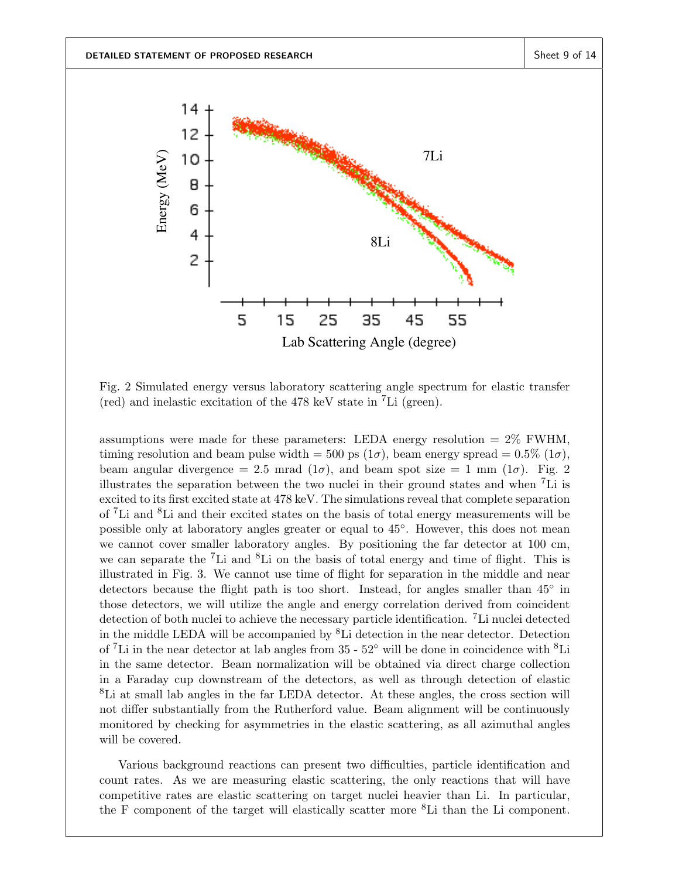

Fig. 2 Simulated energy versus laboratory scattering angle spectrum for elastic transfer (red) and inelastic excitation of the 478 keV state in <sup>7</sup>Li (green).

assumptions were made for these parameters: LEDA energy resolution  $= 2\%$  FWHM, timing resolution and beam pulse width = 500 ps  $(1\sigma)$ , beam energy spread = 0.5%  $(1\sigma)$ , beam angular divergence = 2.5 mrad ( $1\sigma$ ), and beam spot size = 1 mm ( $1\sigma$ ). Fig. 2 illustrates the separation between the two nuclei in their ground states and when <sup>7</sup>Li is excited to its first excited state at 478 keV. The simulations reveal that complete separation of <sup>7</sup>Li and <sup>8</sup>Li and their excited states on the basis of total energy measurements will be possible only at laboratory angles greater or equal to  $45^{\circ}$ . However, this does not mean we cannot cover smaller laboratory angles. By positioning the far detector at 100 cm, we can separate the  ${}^{7}$ Li and  ${}^{8}$ Li on the basis of total energy and time of flight. This is illustrated in Fig. 3. We cannot use time of flight for separation in the middle and near detectors because the flight path is too short. Instead, for angles smaller than 45<sup>°</sup> in those detectors, we will utilize the angle and energy correlation derived from coincident detection of both nuclei to achieve the necessary particle identification. <sup>7</sup>Li nuclei detected in the middle LEDA will be accompanied by  ${}^{8}$ Li detection in the near detector. Detection of <sup>7</sup>Li in the near detector at lab angles from  $35 - 52°$  will be done in coincidence with <sup>8</sup>Li in the same detector. Beam normalization will be obtained via direct charge collection in a Faraday cup downstream of the detectors, as well as through detection of elastic <sup>8</sup>Li at small lab angles in the far LEDA detector. At these angles, the cross section will not differ substantially from the Rutherford value. Beam alignment will be continuously monitored by checking for asymmetries in the elastic scattering, as all azimuthal angles will be covered.

Various background reactions can present two difficulties, particle identification and count rates. As we are measuring elastic scattering, the only reactions that will have competitive rates are elastic scattering on target nuclei heavier than Li. In particular, the F component of the target will elastically scatter more <sup>8</sup>Li than the Li component.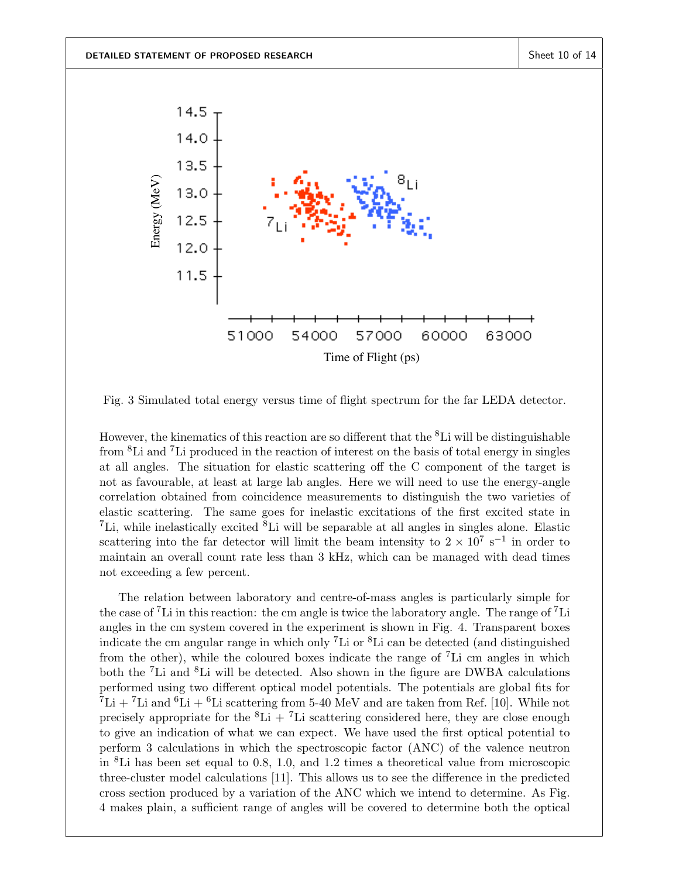

Fig. 3 Simulated total energy versus time of flight spectrum for the far LEDA detector.

However, the kinematics of this reaction are so different that the  ${}^{8}$ Li will be distinguishable from <sup>8</sup>Li and <sup>7</sup>Li produced in the reaction of interest on the basis of total energy in singles at all angles. The situation for elastic scattering off the C component of the target is not as favourable, at least at large lab angles. Here we will need to use the energy-angle correlation obtained from coincidence measurements to distinguish the two varieties of elastic scattering. The same goes for inelastic excitations of the first excited state in <sup>7</sup>Li, while inelastically excited  ${}^{8}$ Li will be separable at all angles in singles alone. Elastic scattering into the far detector will limit the beam intensity to  $2 \times 10^7$  s<sup>-1</sup> in order to maintain an overall count rate less than 3 kHz, which can be managed with dead times not exceeding a few percent.

The relation between laboratory and centre-of-mass angles is particularly simple for the case of <sup>7</sup>Li in this reaction: the cm angle is twice the laboratory angle. The range of <sup>7</sup>Li angles in the cm system covered in the experiment is shown in Fig. 4. Transparent boxes indicate the cm angular range in which only <sup>7</sup>Li or <sup>8</sup>Li can be detected (and distinguished from the other), while the coloured boxes indicate the range of  ${}^{7}$ Li cm angles in which both the <sup>7</sup>Li and <sup>8</sup>Li will be detected. Also shown in the figure are DWBA calculations performed using two different optical model potentials. The potentials are global fits for  ${}^{7}Li + {}^{7}Li$  and  ${}^{6}Li + {}^{6}Li$  scattering from 5-40 MeV and are taken from Ref. [10]. While not precisely appropriate for the  ${}^{8}Li + {}^{7}Li$  scattering considered here, they are close enough to give an indication of what we can expect. We have used the first optical potential to perform 3 calculations in which the spectroscopic factor (ANC) of the valence neutron in <sup>8</sup>Li has been set equal to 0.8, 1.0, and 1.2 times a theoretical value from microscopic three-cluster model calculations [11]. This allows us to see the difference in the predicted cross section produced by a variation of the ANC which we intend to determine. As Fig. 4 makes plain, a sufficient range of angles will be covered to determine both the optical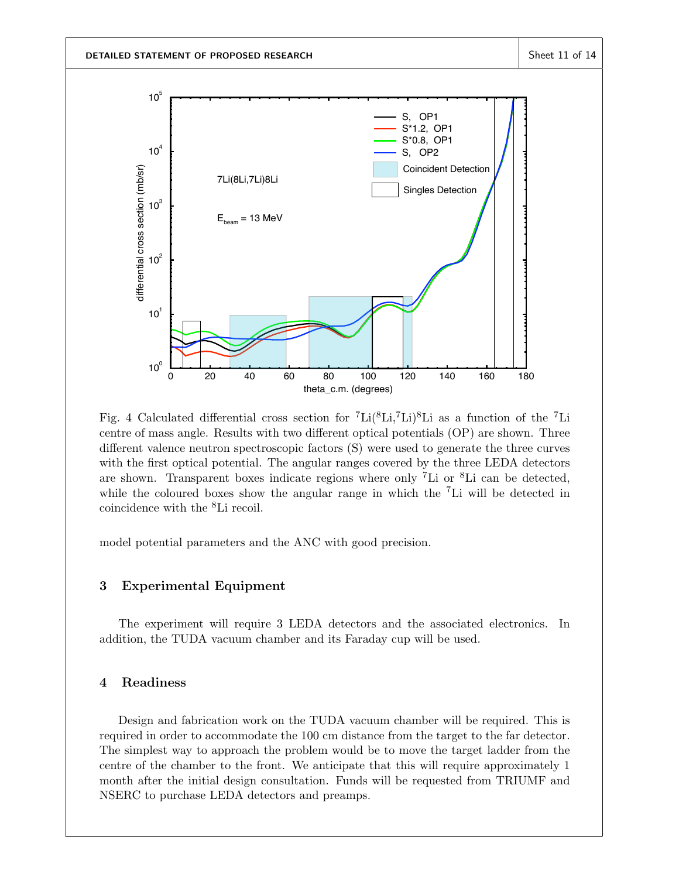

Fig. 4 Calculated differential cross section for  ${}^{7}$ Li( ${}^{8}$ Li, ${}^{7}$ Li) ${}^{8}$ Li as a function of the  ${}^{7}$ Li centre of mass angle. Results with two different optical potentials (OP) are shown. Three different valence neutron spectroscopic factors (S) were used to generate the three curves with the first optical potential. The angular ranges covered by the three LEDA detectors are shown. Transparent boxes indicate regions where only <sup>7</sup>Li or  ${}^{8}$ Li can be detected, while the coloured boxes show the angular range in which the <sup>7</sup>Li will be detected in coincidence with the <sup>8</sup>Li recoil.

model potential parameters and the ANC with good precision.

#### 3 Experimental Equipment

The experiment will require 3 LEDA detectors and the associated electronics. In addition, the TUDA vacuum chamber and its Faraday cup will be used.

### 4 Readiness

Design and fabrication work on the TUDA vacuum chamber will be required. This is required in order to accommodate the 100 cm distance from the target to the far detector. The simplest way to approach the problem would be to move the target ladder from the centre of the chamber to the front. We anticipate that this will require approximately 1 month after the initial design consultation. Funds will be requested from TRIUMF and NSERC to purchase LEDA detectors and preamps.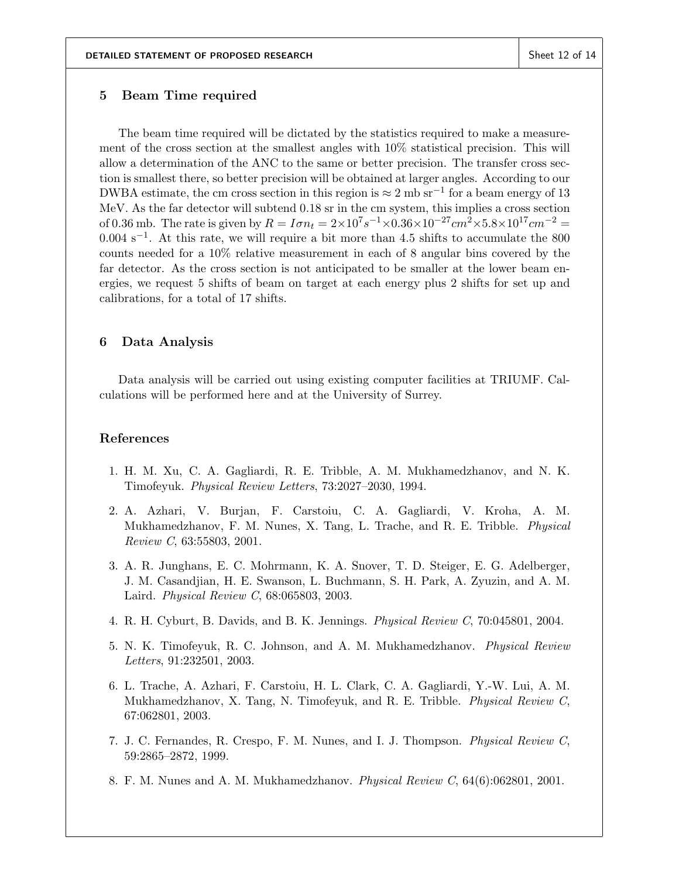#### 5 Beam Time required

The beam time required will be dictated by the statistics required to make a measurement of the cross section at the smallest angles with 10% statistical precision. This will allow a determination of the ANC to the same or better precision. The transfer cross section is smallest there, so better precision will be obtained at larger angles. According to our DWBA estimate, the cm cross section in this region is  $\approx 2 \text{ mb s}^{-1}$  for a beam energy of 13 MeV. As the far detector will subtend 0.18 sr in the cm system, this implies a cross section of 0.36 mb. The rate is given by  $R = I \sigma n_t = 2 \times 10^7 s^{-1} \times 0.36 \times 10^{-27} cm^2 \times 5.8 \times 10^{17} cm^{-2} =$ 0.004 s<sup>-1</sup>. At this rate, we will require a bit more than 4.5 shifts to accumulate the 800 counts needed for a 10% relative measurement in each of 8 angular bins covered by the far detector. As the cross section is not anticipated to be smaller at the lower beam energies, we request 5 shifts of beam on target at each energy plus 2 shifts for set up and calibrations, for a total of 17 shifts.

#### 6 Data Analysis

Data analysis will be carried out using existing computer facilities at TRIUMF. Calculations will be performed here and at the University of Surrey.

#### References

- 1. H. M. Xu, C. A. Gagliardi, R. E. Tribble, A. M. Mukhamedzhanov, and N. K. Timofeyuk. Physical Review Letters, 73:2027–2030, 1994.
- 2. A. Azhari, V. Burjan, F. Carstoiu, C. A. Gagliardi, V. Kroha, A. M. Mukhamedzhanov, F. M. Nunes, X. Tang, L. Trache, and R. E. Tribble. Physical Review C, 63:55803, 2001.
- 3. A. R. Junghans, E. C. Mohrmann, K. A. Snover, T. D. Steiger, E. G. Adelberger, J. M. Casandjian, H. E. Swanson, L. Buchmann, S. H. Park, A. Zyuzin, and A. M. Laird. Physical Review C, 68:065803, 2003.
- 4. R. H. Cyburt, B. Davids, and B. K. Jennings. Physical Review C, 70:045801, 2004.
- 5. N. K. Timofeyuk, R. C. Johnson, and A. M. Mukhamedzhanov. Physical Review Letters, 91:232501, 2003.
- 6. L. Trache, A. Azhari, F. Carstoiu, H. L. Clark, C. A. Gagliardi, Y.-W. Lui, A. M. Mukhamedzhanov, X. Tang, N. Timofeyuk, and R. E. Tribble. Physical Review C, 67:062801, 2003.
- 7. J. C. Fernandes, R. Crespo, F. M. Nunes, and I. J. Thompson. Physical Review C, 59:2865–2872, 1999.
- 8. F. M. Nunes and A. M. Mukhamedzhanov. Physical Review C, 64(6):062801, 2001.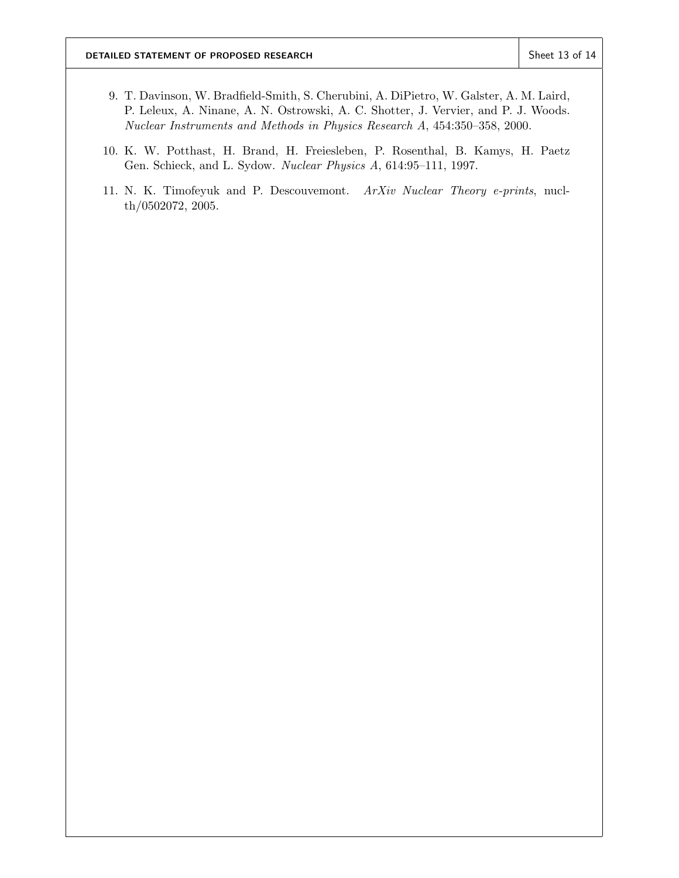- 9. T. Davinson, W. Bradfield-Smith, S. Cherubini, A. DiPietro, W. Galster, A. M. Laird, P. Leleux, A. Ninane, A. N. Ostrowski, A. C. Shotter, J. Vervier, and P. J. Woods. Nuclear Instruments and Methods in Physics Research A, 454:350–358, 2000.
- 10. K. W. Potthast, H. Brand, H. Freiesleben, P. Rosenthal, B. Kamys, H. Paetz Gen. Schieck, and L. Sydow. Nuclear Physics A, 614:95–111, 1997.
- 11. N. K. Timofeyuk and P. Descouvemont. ArXiv Nuclear Theory e-prints, nuclth/0502072, 2005.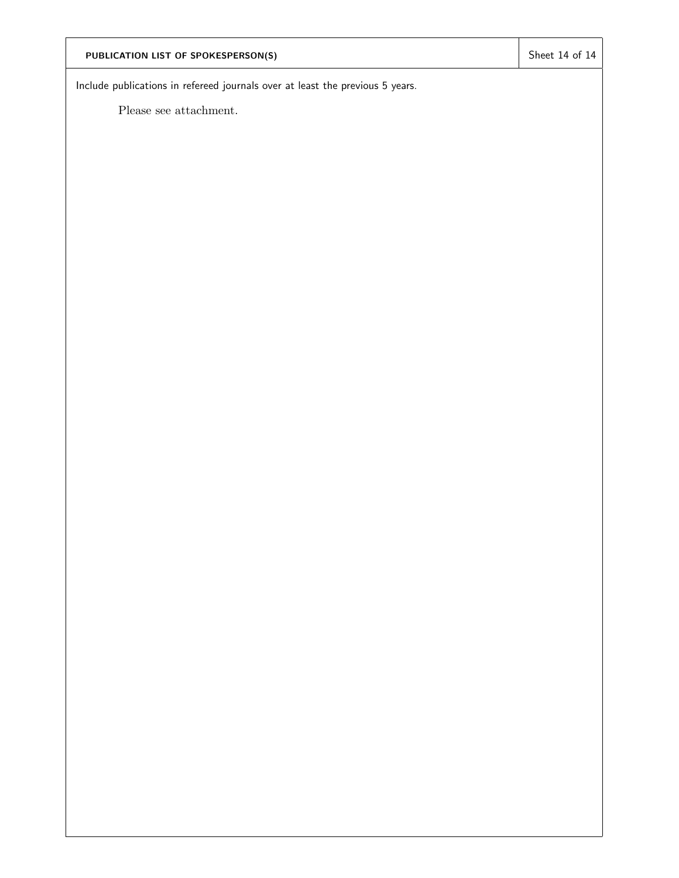# PUBLICATION LIST OF SPOKESPERSON(S) Sheet 14 of 14

Include publications in refereed journals over at least the previous 5 years.

Please see attachment.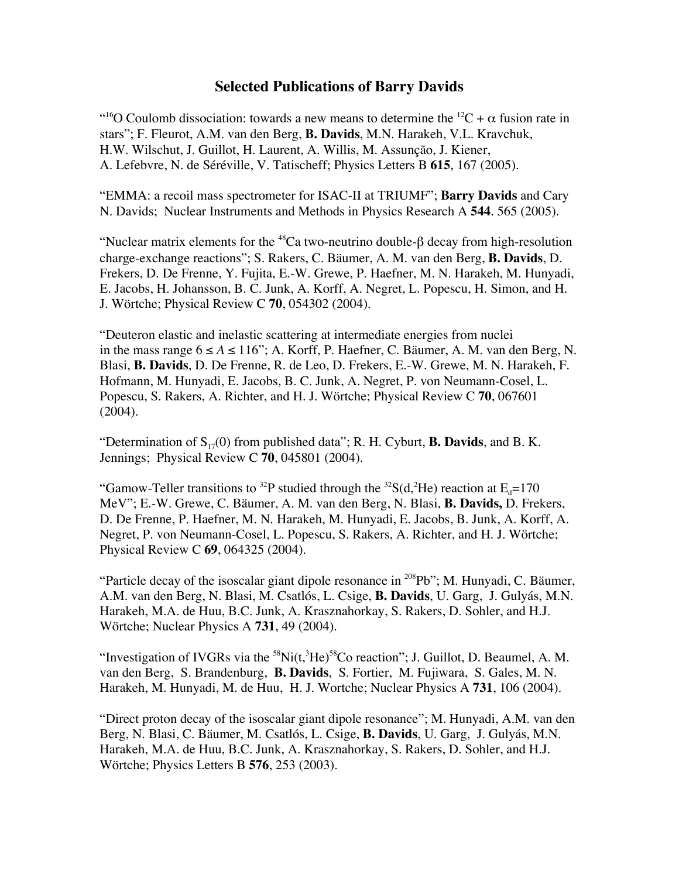## **Selected Publications of Barry Davids**

<sup>"16</sup>O Coulomb dissociation: towards a new means to determine the <sup>12</sup>C +  $\alpha$  fusion rate in stars"; F. Fleurot, A.M. van den Berg, **B. Davids**, M.N. Harakeh, V.L. Kravchuk, H.W. Wilschut, J. Guillot, H. Laurent, A. Willis, M. Assunção, J. Kiener, A. Lefebvre, N. de Séréville, V. Tatischeff; Physics Letters B **615**, 167 (2005).

"EMMA: a recoil mass spectrometer for ISAC-II at TRIUMF"; **Barry Davids** and Cary N. Davids; Nuclear Instruments and Methods in Physics Research A **544**. 565 (2005).

"Nuclear matrix elements for the <sup>48</sup>Ca two-neutrino double- $\beta$  decay from high-resolution charge-exchange reactions"; S. Rakers, C. Bäumer, A. M. van den Berg, **B. Davids**, D. Frekers, D. De Frenne, Y. Fujita, E.-W. Grewe, P. Haefner, M. N. Harakeh, M. Hunyadi, E. Jacobs, H. Johansson, B. C. Junk, A. Korff, A. Negret, L. Popescu, H. Simon, and H. J. Wörtche; Physical Review C **70**, 054302 (2004).

"Deuteron elastic and inelastic scattering at intermediate energies from nuclei in the mass range  $6 ≤ A ≤ 116$ "; A. Korff, P. Haefner, C. Bäumer, A. M. van den Berg, N. Blasi, **B. Davids**, D. De Frenne, R. de Leo, D. Frekers, E.-W. Grewe, M. N. Harakeh, F. Hofmann, M. Hunyadi, E. Jacobs, B. C. Junk, A. Negret, P. von Neumann-Cosel, L. Popescu, S. Rakers, A. Richter, and H. J. Wörtche; Physical Review C **70**, 067601 (2004).

"Determination of  $S_{17}(0)$  from published data"; R. H. Cyburt, **B. Davids**, and B. K. Jennings; Physical Review C **70**, 045801 (2004).

"Gamow-Teller transitions to <sup>32</sup>P studied through the <sup>32</sup>S(d,<sup>2</sup>He) reaction at  $E_d$ =170 MeV"; E.-W. Grewe, C. Bäumer, A. M. van den Berg, N. Blasi, **B. Davids,** D. Frekers, D. De Frenne, P. Haefner, M. N. Harakeh, M. Hunyadi, E. Jacobs, B. Junk, A. Korff, A. Negret, P. von Neumann-Cosel, L. Popescu, S. Rakers, A. Richter, and H. J. Wörtche; Physical Review C **69**, 064325 (2004).

"Particle decay of the isoscalar giant dipole resonance in  $^{208}Pb$ "; M. Hunyadi, C. Bäumer, A.M. van den Berg, N. Blasi, M. Csatlós, L. Csige, **B. Davids**, U. Garg, J. Gulyás, M.N. Harakeh, M.A. de Huu, B.C. Junk, A. Krasznahorkay, S. Rakers, D. Sohler, and H.J. Wörtche; Nuclear Physics A **731**, 49 (2004).

"Investigation of IVGRs via the  ${}^{58}$ Ni(t, ${}^{3}$ He) ${}^{58}$ Co reaction"; J. Guillot, D. Beaumel, A. M. van den Berg, S. Brandenburg, **B. Davids**, S. Fortier, M. Fujiwara, S. Gales, M. N. Harakeh, M. Hunyadi, M. de Huu, H. J. Wortche; Nuclear Physics A **731**, 106 (2004).

"Direct proton decay of the isoscalar giant dipole resonance"; M. Hunyadi, A.M. van den Berg, N. Blasi, C. Bäumer, M. Csatlós, L. Csige, **B. Davids**, U. Garg, J. Gulyás, M.N. Harakeh, M.A. de Huu, B.C. Junk, A. Krasznahorkay, S. Rakers, D. Sohler, and H.J. Wörtche; Physics Letters B **576**, 253 (2003).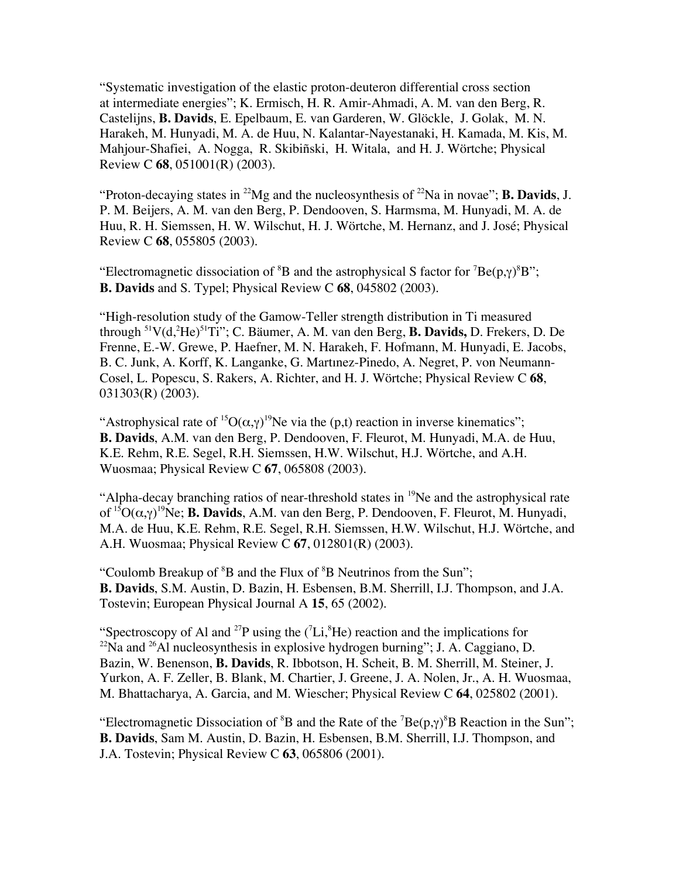"Systematic investigation of the elastic proton-deuteron differential cross section at intermediate energies"; K. Ermisch, H. R. Amir-Ahmadi, A. M. van den Berg, R. Castelijns, **B. Davids**, E. Epelbaum, E. van Garderen, W. Glöckle, J. Golak, M. N. Harakeh, M. Hunyadi, M. A. de Huu, N. Kalantar-Nayestanaki, H. Kamada, M. Kis, M. Mahjour-Shafiei, A. Nogga, R. Skibiñski, H. Witala, and H. J. Wörtche; Physical Review C **68**, 051001(R) (2003).

"Proton-decaying states in <sup>22</sup>Mg and the nucleosynthesis of <sup>22</sup>Na in novae"; **B. Davids**, J. P. M. Beijers, A. M. van den Berg, P. Dendooven, S. Harmsma, M. Hunyadi, M. A. de Huu, R. H. Siemssen, H. W. Wilschut, H. J. Wörtche, M. Hernanz, and J. José; Physical Review C **68**, 055805 (2003).

"Electromagnetic dissociation of  ${}^{8}B$  and the astrophysical S factor for  ${}^{7}Be(p,\gamma){}^{8}B"$ ; **B. Davids** and S. Typel; Physical Review C **68**, 045802 (2003).

"High-resolution study of the Gamow-Teller strength distribution in Ti measured through 51V(d,2 He)51Ti"; C. Bäumer, A. M. van den Berg, **B. Davids,** D. Frekers, D. De Frenne, E.-W. Grewe, P. Haefner, M. N. Harakeh, F. Hofmann, M. Hunyadi, E. Jacobs, B. C. Junk, A. Korff, K. Langanke, G. Martınez-Pinedo, A. Negret, P. von Neumann-Cosel, L. Popescu, S. Rakers, A. Richter, and H. J. Wörtche; Physical Review C **68**, 031303(R) (2003).

"Astrophysical rate of <sup>15</sup>O( $\alpha$ , $\gamma$ )<sup>19</sup>Ne via the (p,t) reaction in inverse kinematics"; **B. Davids**, A.M. van den Berg, P. Dendooven, F. Fleurot, M. Hunyadi, M.A. de Huu, K.E. Rehm, R.E. Segel, R.H. Siemssen, H.W. Wilschut, H.J. Wörtche, and A.H. Wuosmaa; Physical Review C **67**, 065808 (2003).

"Alpha-decay branching ratios of near-threshold states in <sup>19</sup>Ne and the astrophysical rate of 15O(α,γ) 19Ne; **B. Davids**, A.M. van den Berg, P. Dendooven, F. Fleurot, M. Hunyadi, M.A. de Huu, K.E. Rehm, R.E. Segel, R.H. Siemssen, H.W. Wilschut, H.J. Wörtche, and A.H. Wuosmaa; Physical Review C **67**, 012801(R) (2003).

"Coulomb Breakup of  ${}^{8}B$  and the Flux of  ${}^{8}B$  Neutrinos from the Sun"; **B. Davids**, S.M. Austin, D. Bazin, H. Esbensen, B.M. Sherrill, I.J. Thompson, and J.A. Tostevin; European Physical Journal A **15**, 65 (2002).

"Spectroscopy of Al and <sup>27</sup>P using the  $(^{7}Li, ^{8}He)$  reaction and the implications for  $^{22}$ Na and  $^{26}$ Al nucleosynthesis in explosive hydrogen burning"; J. A. Caggiano, D. Bazin, W. Benenson, **B. Davids**, R. Ibbotson, H. Scheit, B. M. Sherrill, M. Steiner, J. Yurkon, A. F. Zeller, B. Blank, M. Chartier, J. Greene, J. A. Nolen, Jr., A. H. Wuosmaa, M. Bhattacharya, A. Garcia, and M. Wiescher; Physical Review C **64**, 025802 (2001).

"Electromagnetic Dissociation of  ${}^{8}B$  and the Rate of the  ${}^{7}Be(p,\gamma){}^{8}B$  Reaction in the Sun"; **B. Davids**, Sam M. Austin, D. Bazin, H. Esbensen, B.M. Sherrill, I.J. Thompson, and J.A. Tostevin; Physical Review C **63**, 065806 (2001).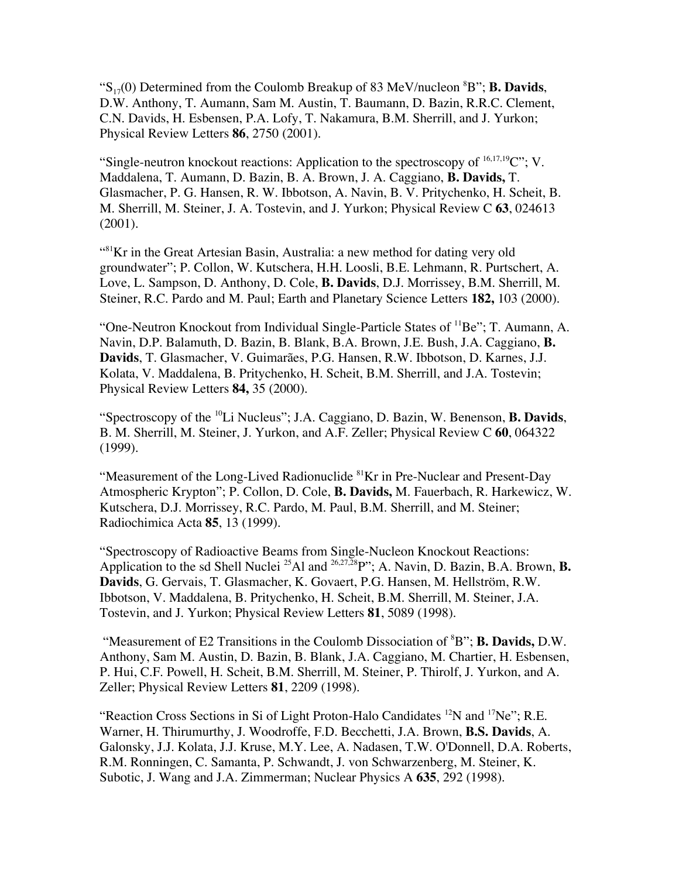" $S_{17}(0)$  Determined from the Coulomb Breakup of 83 MeV/nucleon  ${}^{8}B$ "; **B. Davids**, D.W. Anthony, T. Aumann, Sam M. Austin, T. Baumann, D. Bazin, R.R.C. Clement, C.N. Davids, H. Esbensen, P.A. Lofy, T. Nakamura, B.M. Sherrill, and J. Yurkon; Physical Review Letters **86**, 2750 (2001).

"Single-neutron knockout reactions: Application to the spectroscopy of  $^{16,17,19}$ C"; V. Maddalena, T. Aumann, D. Bazin, B. A. Brown, J. A. Caggiano, **B. Davids,** T. Glasmacher, P. G. Hansen, R. W. Ibbotson, A. Navin, B. V. Pritychenko, H. Scheit, B. M. Sherrill, M. Steiner, J. A. Tostevin, and J. Yurkon; Physical Review C **63**, 024613 (2001).

 $\frac{1}{8}$ Kr in the Great Artesian Basin, Australia: a new method for dating very old groundwater"; P. Collon, W. Kutschera, H.H. Loosli, B.E. Lehmann, R. Purtschert, A. Love, L. Sampson, D. Anthony, D. Cole, **B. Davids**, D.J. Morrissey, B.M. Sherrill, M. Steiner, R.C. Pardo and M. Paul; Earth and Planetary Science Letters **182,** 103 (2000).

"One-Neutron Knockout from Individual Single-Particle States of <sup>11</sup>Be"; T. Aumann, A. Navin, D.P. Balamuth, D. Bazin, B. Blank, B.A. Brown, J.E. Bush, J.A. Caggiano, **B. Davids**, T. Glasmacher, V. Guimarães, P.G. Hansen, R.W. Ibbotson, D. Karnes, J.J. Kolata, V. Maddalena, B. Pritychenko, H. Scheit, B.M. Sherrill, and J.A. Tostevin; Physical Review Letters **84,** 35 (2000).

"Spectroscopy of the 10Li Nucleus"; J.A. Caggiano, D. Bazin, W. Benenson, **B. Davids**, B. M. Sherrill, M. Steiner, J. Yurkon, and A.F. Zeller; Physical Review C **60**, 064322 (1999).

"Measurement of the Long-Lived Radionuclide  ${}^{81}$ Kr in Pre-Nuclear and Present-Day Atmospheric Krypton"; P. Collon, D. Cole, **B. Davids,** M. Fauerbach, R. Harkewicz, W. Kutschera, D.J. Morrissey, R.C. Pardo, M. Paul, B.M. Sherrill, and M. Steiner; Radiochimica Acta **85**, 13 (1999).

"Spectroscopy of Radioactive Beams from Single-Nucleon Knockout Reactions: Application to the sd Shell Nuclei<sup>25</sup>Al and <sup>26,27,28</sup>P"; A. Navin, D. Bazin, B.A. Brown, **B. Davids**, G. Gervais, T. Glasmacher, K. Govaert, P.G. Hansen, M. Hellström, R.W. Ibbotson, V. Maddalena, B. Pritychenko, H. Scheit, B.M. Sherrill, M. Steiner, J.A. Tostevin, and J. Yurkon; Physical Review Letters **81**, 5089 (1998).

"Measurement of E2 Transitions in the Coulomb Dissociation of <sup>8</sup>B"; **B. Davids,** D.W. Anthony, Sam M. Austin, D. Bazin, B. Blank, J.A. Caggiano, M. Chartier, H. Esbensen, P. Hui, C.F. Powell, H. Scheit, B.M. Sherrill, M. Steiner, P. Thirolf, J. Yurkon, and A. Zeller; Physical Review Letters **81**, 2209 (1998).

"Reaction Cross Sections in Si of Light Proton-Halo Candidates  $^{12}N$  and  $^{17}Ne$ "; R.E. Warner, H. Thirumurthy, J. Woodroffe, F.D. Becchetti, J.A. Brown, **B.S. Davids**, A. Galonsky, J.J. Kolata, J.J. Kruse, M.Y. Lee, A. Nadasen, T.W. O'Donnell, D.A. Roberts, R.M. Ronningen, C. Samanta, P. Schwandt, J. von Schwarzenberg, M. Steiner, K. Subotic, J. Wang and J.A. Zimmerman; Nuclear Physics A **635**, 292 (1998).